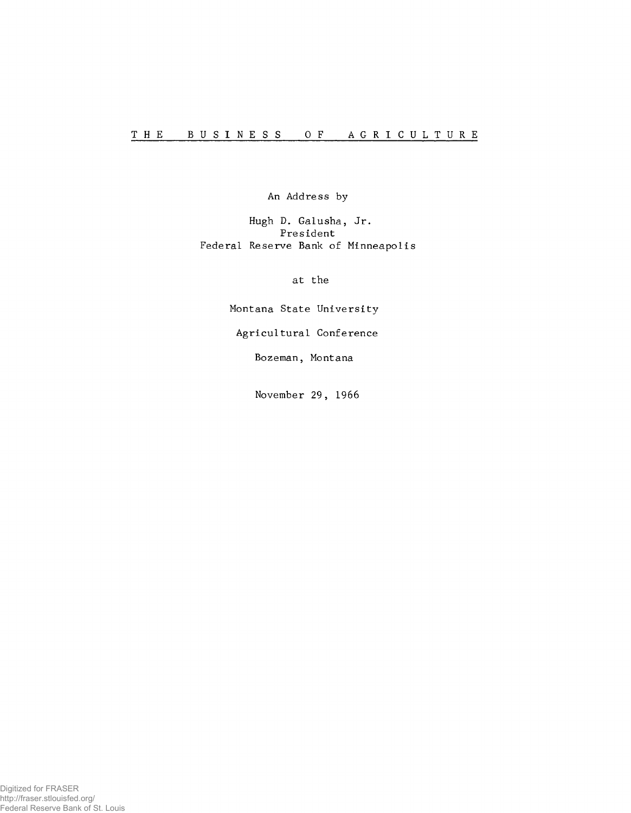An Address by

Hugh D. Galusha, Jr. President Federal Reserve Bank of Minneapolis

at the

Montana State University

Agricultural Conference

Bozeman, Montana

November 29, 1966

Digitized for FRASER http://fraser.stlouisfed.org/ Federal Reserve Bank of St. Louis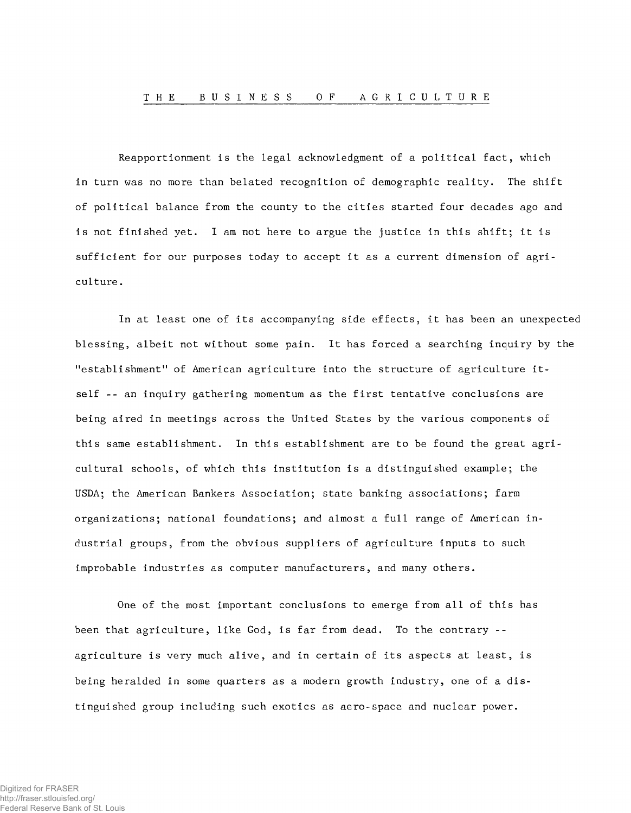Reapportionment is the legal acknowledgment of a political fact, which in turn was no more than belated recognition of demographic reality. The shift of political balance from the county to the cities started four decades ago and is not finished yet. I am not here to argue the justice in this shift; it is sufficient for our purposes today to accept it as a current dimension of agriculture .

In at least one of its accompanying side effects, it has been an unexpected blessing, albeit not without some pain. It has forced a searching inquiry by the "establishment" of American agriculture into the structure of agriculture itself  $-$ - an inquiry gathering momentum as the first tentative conclusions are being aired in meetings across the United States by the various components of this same establishment. In this establishment are to be found the great agricultural schools, of which this institution is a distinguished example; the USDA; the American Bankers Association; state banking associations; farm organizations; national foundations; and almost a full range of American industrial groups, from the obvious suppliers of agriculture inputs to such improbable industries as computer manufacturers, and many others.

One of the most important conclusions to emerge from all of this has been that agriculture, like God, is far from dead. To the contrary - agriculture is very much alive, and in certain of its aspects at least, is being heralded in some quarters as a modern growth industry, one of a distinguished group including such exotics as aero-space and nuclear power.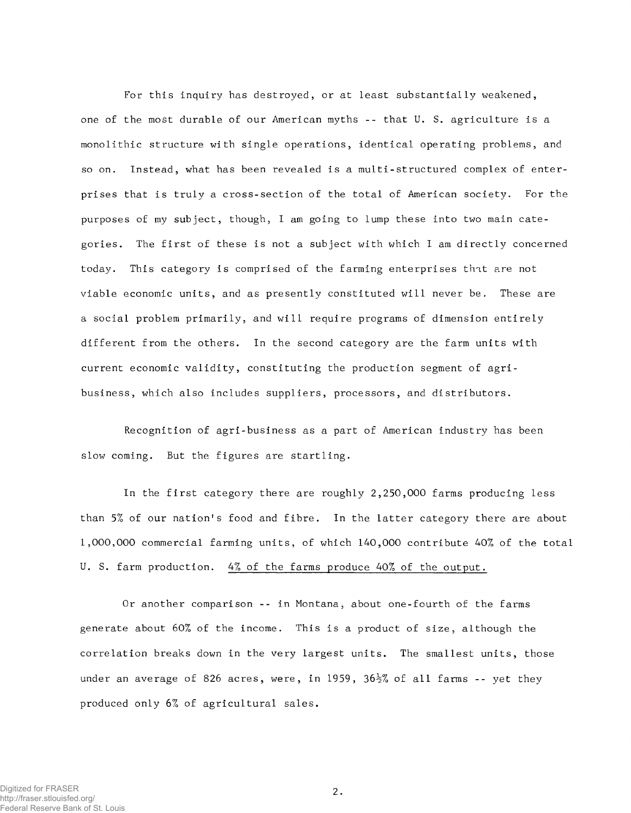For this inquiry has destroyed, or at least substantially weakened, one of the most durable of our American myths -- that U. S. agriculture is a monolithic structure with single operations, identical operating problems, and so on. Instead, what has been revealed is a multi-structured complex of enterprises that is truly a cross-section of the total of American society. For the purposes of my subject, though, I am going to lump these into two main categories. The first of these is not a subject with which I am directly concerned today. This category is comprised of the farming enterprises that are not viable economic units, and as presently constituted will never be. These are a social problem primarily, and will require programs of dimension entirely different from the others. In the second category are the farm units with current economic validity, constituting the production segment of agribusiness, which also includes suppliers, processors, and distributors.

Recognition of agri-business as a part of American industry has been slow coming. But the figures are startling.

In the first category there are roughly 2,250,000 farms producing less than 5% of our nation's food and fibre. In the latter category there are about 1,000,000 commercial farming units, of which 140,000 contribute 40% of the total U. S. farm production. 4% of the farms produce 40% of the output.

Or another comparison -- in Montana, about one-fourth of the farms generate about 60% of the income. This is a product of size, although the correlation breaks down in the very largest units. The smallest units, those under an average of 826 acres, were, in 1959, 36<sup>1</sup>/<sub>2</sub>% of all farms -- yet they produced only 6% of agricultural sales.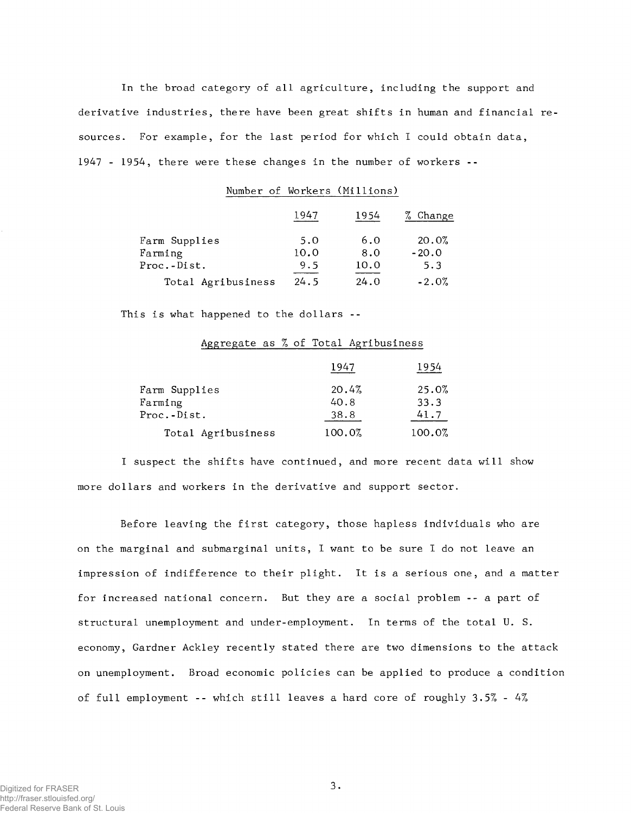In the broad category of all agriculture, including the support and derivative industries, there have been great shifts in human and financial resources. For example, for the last period for which I could obtain data, 1947 - 1954, there were these changes in the number of workers --

## Number of Workers (Millions)

|                    | 1947 | 1954 | % Change |
|--------------------|------|------|----------|
| Farm Supplies      | 5.0  | 6.0  | 20.0%    |
| Farming            | 10.0 | 8.0  | $-20.0$  |
| Proc.-Dist.        | 9.5  | 10.0 | 5.3      |
| Total Agribusiness | 24.5 | 24.0 | $-2.0%$  |

This is what happened to the dollars --

|                                         | 1947                  | 1954                  |
|-----------------------------------------|-----------------------|-----------------------|
| Farm Supplies<br>Farming<br>Proc.-Dist. | 20.4%<br>40.8<br>38.8 | 25.0%<br>33.3<br>41.7 |
| Total Agribusiness                      | 100.0%                | 100.0%                |

## Aggregate as % of Total Agribusiness

I suspect the shifts have continued, and more recent data will show more dollars and workers in the derivative and support sector.

Before leaving the first category, those hapless individuals who are on the marginal and submarginal units, I want to be sure I do not leave an impression of indifference to their plight. It is a serious one, and a matter for increased national concern. But they are a social problem -- a part of structural unemployment and under-employment. In terms of the total U. S. economy, Gardner Ackley recently stated there are two dimensions to the attack on unemployment. Broad economic policies can be applied to produce a condition of full employment -- which still leaves a hard core of roughly 3.5% - 4%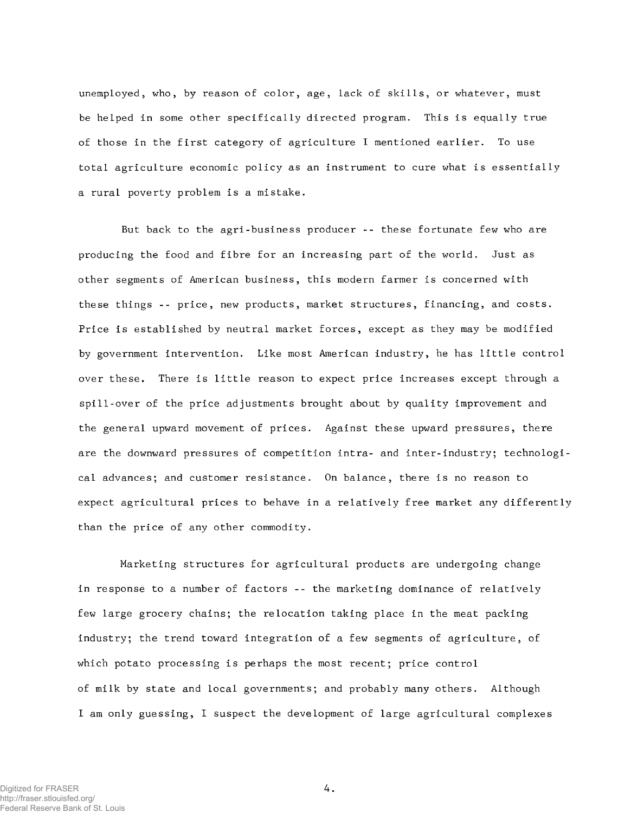unemployed, who, by reason of color, age, lack of skills, or whatever, must be helped in some other specifically directed program. This is equally true of those in the first category of agriculture I mentioned earlier. To use total agriculture economic policy as an instrument to cure what is essentially a rural poverty problem is a mistake.

But back to the agri-business producer -- these fortunate few who are producing the food and fibre for an increasing part of the world. Just as other segments of American business, this modern farmer is concerned with these things -- price, new products, market structures, financing, and costs. Price is established by neutral market forces, except as they may be modified by government intervention. Like most American industry, he has little control over these. There is little reason to expect price increases except through a spill-over of the price adjustments brought about by quality improvement and the general upward movement of prices. Against these upward pressures, there are the downward pressures of competition intra- and inter-industry; technological advances; and customer resistance. On balance, there is no reason to expect agricultural prices to behave in a relatively free market any differently than the price of any other commodity.

Marketing structures for agricultural products are undergoing change in response to a number of factors -- the marketing dominance of relatively few large grocery chains; the relocation taking place in the meat packing industry; the trend toward integration of a few segments of agriculture, of which potato processing is perhaps the most recent; price control of milk by state and local governments; and probably many others. Although I am only guessing, I suspect the development of large agricultural complexes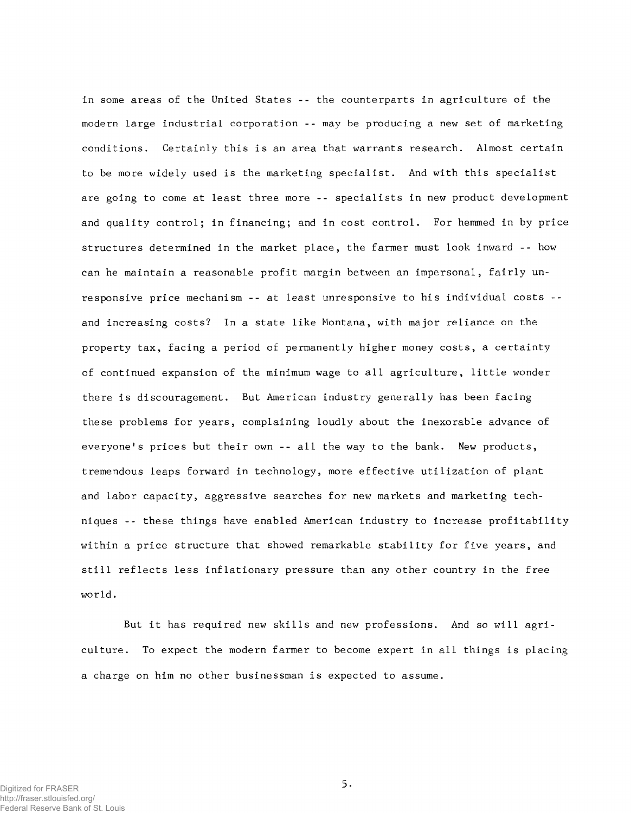in some areas of the United States -- the counterparts in agriculture of the modern large industrial corporation -- may be producing a new set of marketing conditions. Certainly this is an area that warrants research. Almost certain to be more widely used is the marketing specialist. And with this specialist are going to come at least three more -- specialists in new product development and quality control; in financing; and in cost control. For hemmed in by price structures determined in the market place, the farmer must look inward -- how can he maintain a reasonable profit margin between an impersonal, fairly unresponsive price mechanism -- at least unresponsive to his individual costs -and increasing costs? In a state like Montana, with major reliance on the property tax, facing a period of permanently higher money costs, a certainty of continued expansion of the minimum wage to all agriculture, little wonder there is discouragement. But American industry generally has been facing these problems for years, complaining loudly about the inexorable advance of everyone's prices but their own -- all the way to the bank. New products, tremendous leaps forward in technology, more effective utilization of plant and labor capacity, aggressive searches for new markets and marketing techniques -- these things have enabled American industry to increase profitability within a price structure that showed remarkable stability for five years, and still reflects less inflationary pressure than any other country in the free world.

But it has required new skills and new professions. And so will agriculture. To expect the modern farmer to become expert in all things is placing a charge on him no other businessman is expected to assume.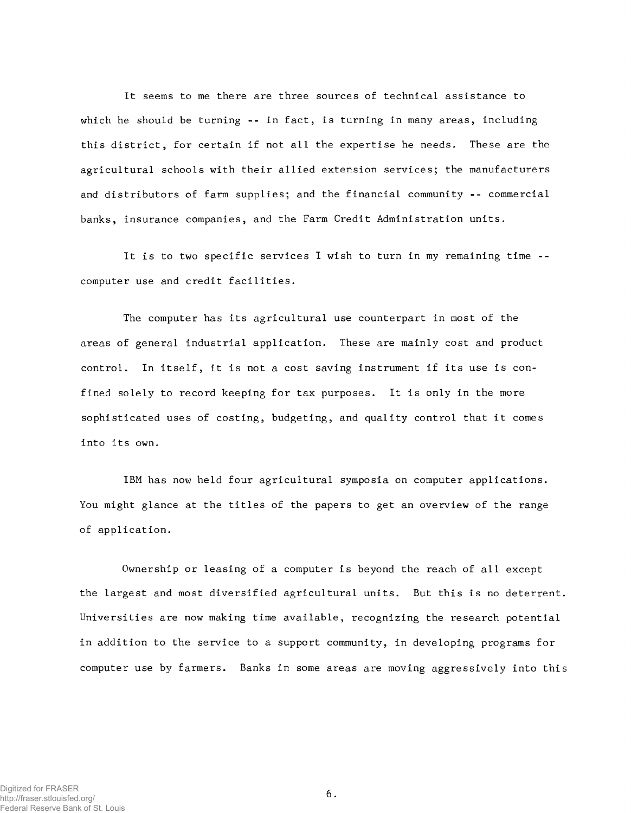It seems to me there are three sources of technical assistance to which he should be turning -- in fact, is turning in many areas, including this district, for certain if not all the expertise he needs. These are the agricultural schools with their allied extension services; the manufacturers and distributors of farm supplies; and the financial community -- commercial banks, insurance companies, and the Farm Credit Administration units.

It is to two specific services I wish to turn in my remaining time - computer use and credit facilities.

The computer has its agricultural use counterpart in most of the areas of general industrial application. These are mainly cost and product control. In itself, it is not a cost saving instrument if its use is confined solely to record keeping for tax purposes. It is only in the more sophisticated uses of costing, budgeting, and quality control that it comes into its own.

IBM has now held four agricultural symposia on computer applications. You might glance at the titles of the papers to get an overview of the range of application.

Ownership or leasing of a computer is beyond the reach of all except the largest and most diversified agricultural units. But this is no deterrent Universities are now making time available, recognizing the research potential in addition to the service to a support community, in developing programs for computer use by farmers. Banks in some areas are moving aggressively into thi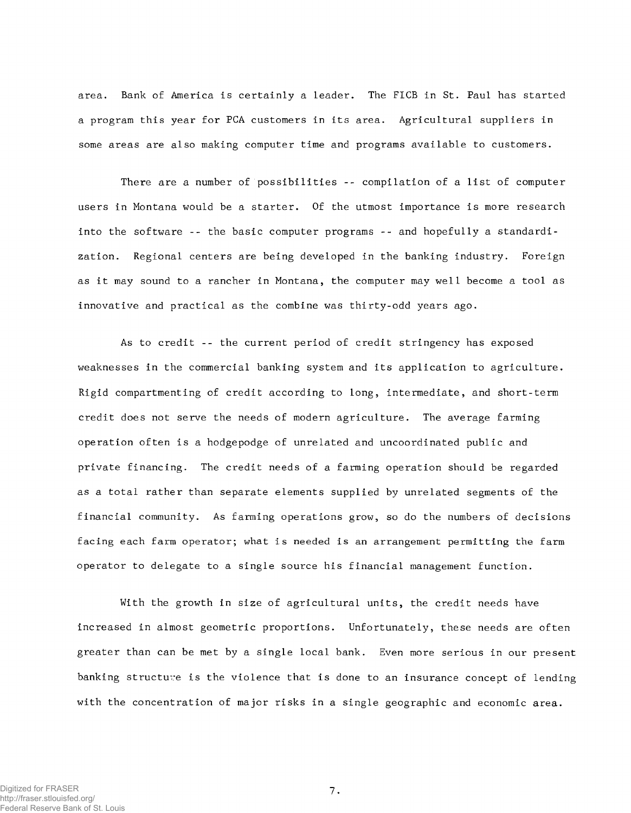area. Bank of America is certainly a leader. The FICB in St. Paul has started a program this year for PCA customers in its area. Agricultural suppliers in some areas are also making computer time and programs available to customers.

There are a number of possibilities -- compilation of a list of computer users in Montana would be a starter. Of the utmost importance is more research into the software -- the basic computer programs -- and hopefully a standardization. Regional centers are being developed in the banking industry. Foreign as it may sound to a rancher in Montana, the computer may well become a tool as innovative and practical as the combine was thirty-odd years ago.

As to credit -- the current period of credit stringency has exposed weaknesses in the commercial banking system and its application to agriculture. Rigid compartmenting of credit according to long, intermediate, and short-term credit does not serve the needs of modern agriculture. The average farming operation often is a hodgepodge of unrelated and uncoordinated public and private financing. The credit needs of a farming operation should be regarded as a total rather than separate elements supplied by unrelated segments of the financial community. As farming operations grow, so do the numbers of decisions facing each farm operator; what is needed is an arrangement permitting the farm operator to delegate to a single source his financial management function.

With the growth in size of agricultural units, the credit needs have increased in almost geometric proportions. Unfortunately, these needs are often greater than can be met by a single local bank. Even more serious in our present banking structure is the violence that is done to an insurance concept of lending with the concentration of major risks in a single geographic and economic area.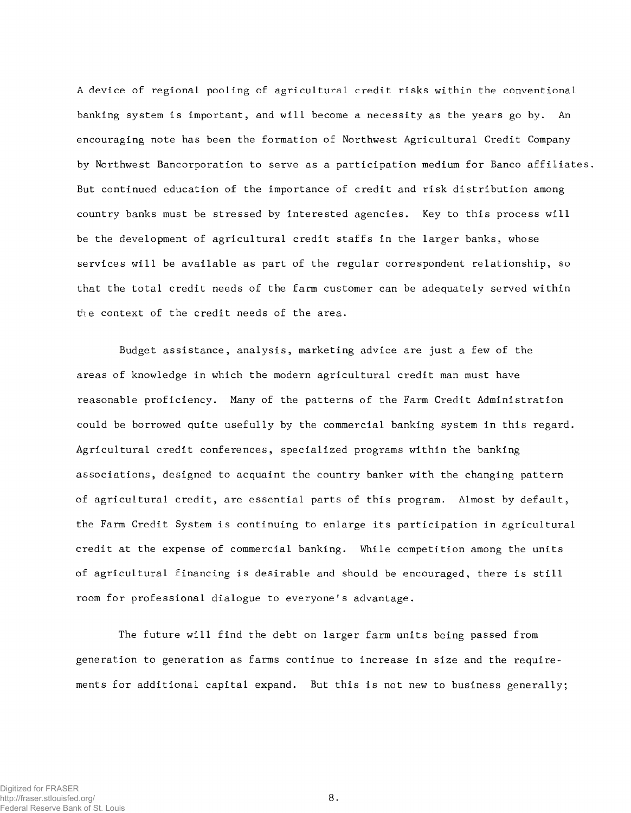A device of regional pooling of agricultural credit risks within the conventional banking system is important, and will become a necessity as the years go by. An encouraging note has been the formation of Northwest Agricultural Credit Company by Northwest Bancorporation to serve as a participation medium for Banco affiliates. But continued education of the importance of credit and risk distribution among country banks must be stressed by interested agencies. Key to this process will be the development of agricultural credit staffs in the larger banks, whose services will be available as part of the regular correspondent relationship, so that the total credit needs of the farm customer can be adequately served within the context of the credit needs of the area.

Budget assistance, analysis, marketing advice are just a few of the areas of knowledge in which the modern agricultural credit man must have reasonable proficiency. Many of the patterns of the Farm Credit Administration could be borrowed quite usefully by the commercial banking system in this regard. Agricultural credit conferences, specialized programs within the banking associations, designed to acquaint the country banker with the changing pattern of agricultural credit, are essential parts of this program. Almost by default, the Farm Credit System is continuing to enlarge its participation in agricultural credit at the expense of commercial banking. While competition among the units of agricultural financing is desirable and should be encouraged, there is still room for professional dialogue to everyone's advantage.

The future will find the debt on larger farm units being passed from generation to generation as farms continue to increase in size and the requirements for additional capital expand. But this is not new to business generally;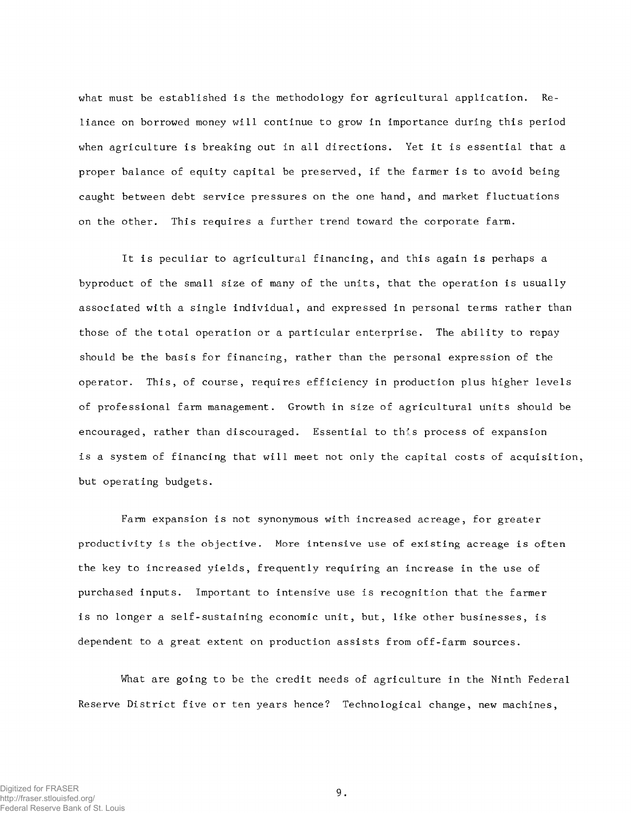what must be established is the methodology for agricultural application. Reliance on borrowed money will continue to grow in importance during this period when agriculture is breaking out in all directions. Yet it is essential that a proper balance of equity capital be preserved, if the farmer is to avoid being caught between debt service pressures on the one hand, and market fluctuations on the other. This requires a further trend toward the corporate farm.

It is peculiar to agricultural financing, and this again is perhaps a byproduct of the small size of many of the units, that the operation is usually associated with a single individual, and expressed in personal terms rather than those of the total operation or a particular enterprise. The ability to repay should be the basis for financing, rather than the personal expression of the operator. This, of course, requires efficiency in production plus higher levels of professional farm management. Growth in size of agricultural units should be encouraged, rather than discouraged. Essential to this process of expansion is a system of financing that will meet not only the capital costs of acquisition, but operating budgets.

Farm expansion is not synonymous with increased acreage, for greater productivity is the objective. More intensive use of existing acreage is often the key to increased yields, frequently requiring an increase in the use of purchased inputs. Important to intensive use is recognition that the farmer is no longer a self-sustaining economic unit, but, like other businesses, is dependent to a great extent on production assists from off-farm sources.

What are going to be the credit needs of agriculture in the Ninth Federal Reserve District five or ten years hence? Technological change, new machines,